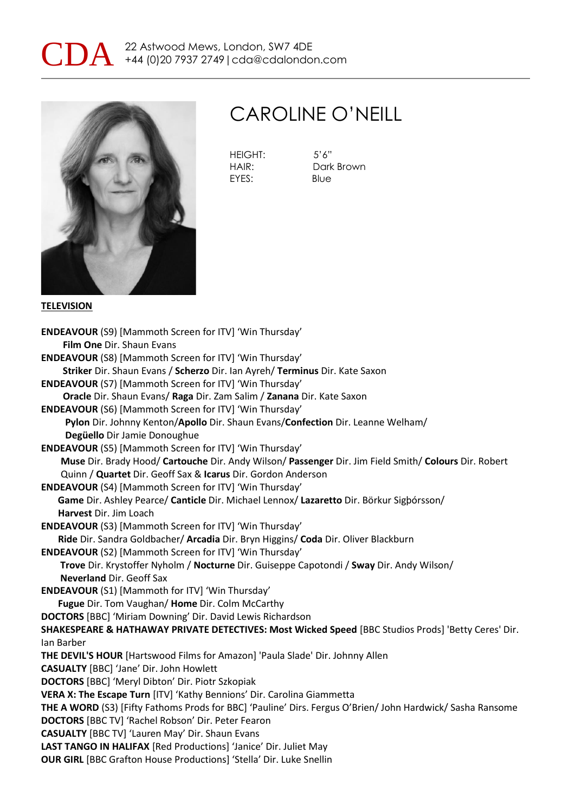



### CAROLINE O'NEILL

HEIGHT: 5'6" EYES: Blue

HAIR: Dark Brown

#### **TELEVISION**

**ENDEAVOUR** (S9) [Mammoth Screen for ITV] 'Win Thursday' **Film One** Dir. Shaun Evans **ENDEAVOUR** (S8) [Mammoth Screen for ITV] 'Win Thursday' **Striker** Dir. Shaun Evans / **Scherzo** Dir. Ian Ayreh/ **Terminus** Dir. Kate Saxon **ENDEAVOUR** (S7) [Mammoth Screen for ITV] 'Win Thursday' **Oracle** Dir. Shaun Evans/ **Raga** Dir. Zam Salim / **Zanana** Dir. Kate Saxon **ENDEAVOUR** (S6) [Mammoth Screen for ITV] 'Win Thursday' **Pylon** Dir. Johnny Kenton/**Apollo** Dir. Shaun Evans/**Confection** Dir. Leanne Welham/ **Degüello** Dir Jamie Donoughue **ENDEAVOUR** (S5) [Mammoth Screen for ITV] 'Win Thursday' **Muse** Dir. Brady Hood/ **Cartouche** Dir. Andy Wilson/ **Passenger** Dir. Jim Field Smith/ **Colours** Dir. Robert Quinn / **Quartet** Dir. Geoff Sax & **Icarus** Dir. Gordon Anderson **ENDEAVOUR** (S4) [Mammoth Screen for ITV] 'Win Thursday' **Game** Dir. Ashley Pearce/ **Canticle** Dir. Michael Lennox/ **Lazaretto** Dir. Börkur Sigþórsson/ **Harvest** Dir. Jim Loach **ENDEAVOUR** (S3) [Mammoth Screen for ITV] 'Win Thursday' **Ride** Dir. Sandra Goldbacher/ **Arcadia** Dir. Bryn Higgins/ **Coda** Dir. Oliver Blackburn **ENDEAVOUR** (S2) [Mammoth Screen for ITV] 'Win Thursday' **Trove** Dir. Krystoffer Nyholm / **Nocturne** Dir. Guiseppe Capotondi / **Sway** Dir. Andy Wilson/ **Neverland** Dir. Geoff Sax **ENDEAVOUR** (S1) [Mammoth for ITV] 'Win Thursday' **Fugue** Dir. Tom Vaughan/ **Home** Dir. Colm McCarthy **DOCTORS** [BBC] 'Miriam Downing' Dir. David Lewis Richardson **SHAKESPEARE & HATHAWAY PRIVATE DETECTIVES: Most Wicked Speed** [BBC Studios Prods] 'Betty Ceres' Dir. Ian Barber **THE DEVIL'S HOUR** [Hartswood Films for Amazon] 'Paula Slade' Dir. Johnny Allen **CASUALTY** [BBC] 'Jane' Dir. John Howlett **DOCTORS** [BBC] 'Meryl Dibton' Dir. Piotr Szkopiak **VERA X: The Escape Turn** [ITV] 'Kathy Bennions' Dir. Carolina Giammetta **THE A WORD** (S3) [Fifty Fathoms Prods for BBC] 'Pauline' Dirs. Fergus O'Brien/ John Hardwick/ Sasha Ransome **DOCTORS** [BBC TV] 'Rachel Robson' Dir. Peter Fearon **CASUALTY** [BBC TV] 'Lauren May' Dir. Shaun Evans **LAST TANGO IN HALIFAX** [Red Productions] 'Janice' Dir. Juliet May **OUR GIRL** [BBC Grafton House Productions] 'Stella' Dir. Luke Snellin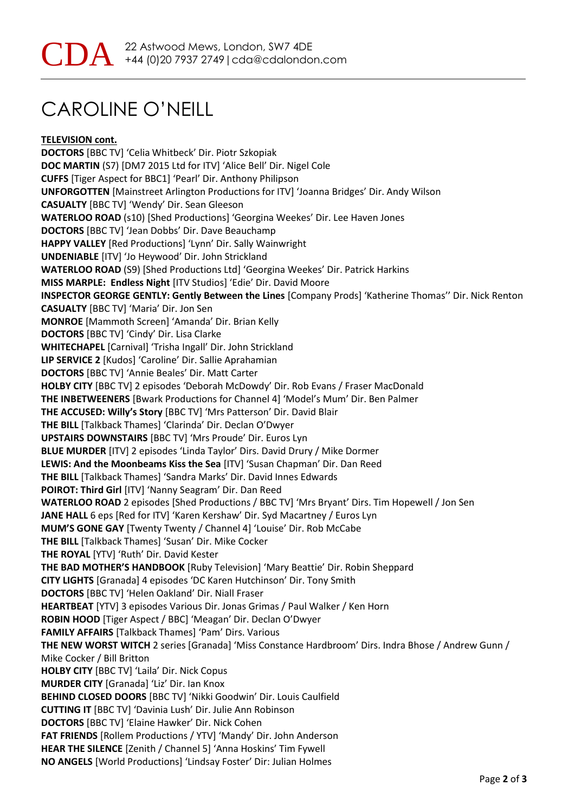# CAROLINE O'NEILL

**TELEVISION cont. DOCTORS** [BBC TV] 'Celia Whitbeck' Dir. Piotr Szkopiak **DOC MARTIN** (S7) [DM7 2015 Ltd for ITV] 'Alice Bell' Dir. Nigel Cole **CUFFS** [Tiger Aspect for BBC1] 'Pearl' Dir. Anthony Philipson **UNFORGOTTEN** [Mainstreet Arlington Productions for ITV] 'Joanna Bridges' Dir. Andy Wilson **CASUALTY** [BBC TV] 'Wendy' Dir. Sean Gleeson **WATERLOO ROAD** (s10) [Shed Productions] 'Georgina Weekes' Dir. Lee Haven Jones **DOCTORS** [BBC TV] 'Jean Dobbs' Dir. Dave Beauchamp **HAPPY VALLEY** [Red Productions] 'Lynn' Dir. Sally Wainwright **UNDENIABLE** [ITV] 'Jo Heywood' Dir. John Strickland **WATERLOO ROAD** (S9) [Shed Productions Ltd] 'Georgina Weekes' Dir. Patrick Harkins **MISS MARPLE: Endless Night** [ITV Studios] 'Edie' Dir. David Moore **INSPECTOR GEORGE GENTLY: Gently Between the Lines** [Company Prods] 'Katherine Thomas'' Dir. Nick Renton **CASUALTY** [BBC TV] 'Maria' Dir. Jon Sen **MONROE** [Mammoth Screen] 'Amanda' Dir. Brian Kelly **DOCTORS** [BBC TV] 'Cindy' Dir. Lisa Clarke **WHITECHAPEL** [Carnival] 'Trisha Ingall' Dir. John Strickland **LIP SERVICE 2** [Kudos] 'Caroline' Dir. Sallie Aprahamian **DOCTORS** [BBC TV] 'Annie Beales' Dir. Matt Carter **HOLBY CITY** [BBC TV] 2 episodes 'Deborah McDowdy' Dir. Rob Evans / Fraser MacDonald **THE INBETWEENERS** [Bwark Productions for Channel 4] 'Model's Mum' Dir. Ben Palmer **THE ACCUSED: Willy's Story** [BBC TV] 'Mrs Patterson' Dir. David Blair **THE BILL** [Talkback Thames] 'Clarinda' Dir. Declan O'Dwyer **UPSTAIRS DOWNSTAIRS** [BBC TV] 'Mrs Proude' Dir. Euros Lyn **BLUE MURDER** [ITV] 2 episodes 'Linda Taylor' Dirs. David Drury / Mike Dormer **LEWIS: And the Moonbeams Kiss the Sea** [ITV] 'Susan Chapman' Dir. Dan Reed **THE BILL** [Talkback Thames] 'Sandra Marks' Dir. David Innes Edwards **POIROT: Third Girl** [ITV] 'Nanny Seagram' Dir. Dan Reed **WATERLOO ROAD** 2 episodes [Shed Productions / BBC TV] 'Mrs Bryant' Dirs. Tim Hopewell / Jon Sen **JANE HALL** 6 eps [Red for ITV] 'Karen Kershaw' Dir. Syd Macartney / Euros Lyn **MUM'S GONE GAY** [Twenty Twenty / Channel 4] 'Louise' Dir. Rob McCabe **THE BILL** [Talkback Thames] 'Susan' Dir. Mike Cocker **THE ROYAL** [YTV] 'Ruth' Dir. David Kester **THE BAD MOTHER'S HANDBOOK** [Ruby Television] 'Mary Beattie' Dir. Robin Sheppard **CITY LIGHTS** [Granada] 4 episodes 'DC Karen Hutchinson' Dir. Tony Smith **DOCTORS** [BBC TV] 'Helen Oakland' Dir. Niall Fraser **HEARTBEAT** [YTV] 3 episodes Various Dir. Jonas Grimas / Paul Walker / Ken Horn **ROBIN HOOD** [Tiger Aspect / BBC] 'Meagan' Dir. Declan O'Dwyer **FAMILY AFFAIRS** [Talkback Thames] 'Pam' Dirs. Various **THE NEW WORST WITCH** 2 series [Granada] 'Miss Constance Hardbroom' Dirs. Indra Bhose / Andrew Gunn / Mike Cocker / Bill Britton **HOLBY CITY** [BBC TV] 'Laila' Dir. Nick Copus **MURDER CITY** [Granada] 'Liz' Dir. Ian Knox **BEHIND CLOSED DOORS** [BBC TV] 'Nikki Goodwin' Dir. Louis Caulfield **CUTTING IT** [BBC TV] 'Davinia Lush' Dir. Julie Ann Robinson **DOCTORS** [BBC TV] 'Elaine Hawker' Dir. Nick Cohen **FAT FRIENDS** [Rollem Productions / YTV] 'Mandy' Dir. John Anderson **HEAR THE SILENCE** [Zenith / Channel 5] 'Anna Hoskins' Tim Fywell **NO ANGELS** [World Productions] 'Lindsay Foster' Dir: Julian Holmes